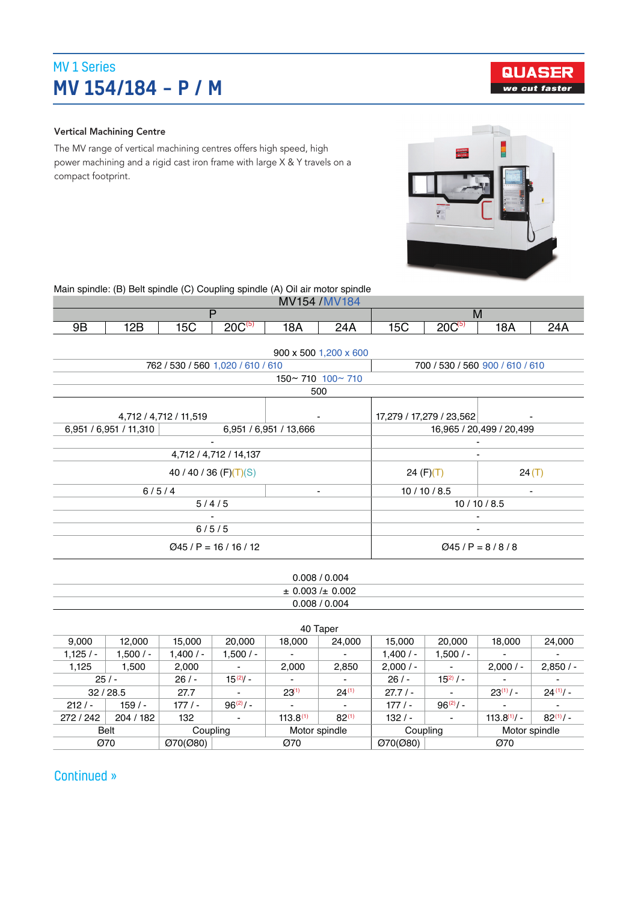## MV 1 Series MV 154/184 – P / M

#### Vertical Machining Centre

The MV range of vertical machining centres offers high speed, high power machining and a rigid cast iron frame with large X & Y travels on a compact footprint.



**QUASER** we cut faster

Main spindle: (B) Belt spindle (C) Coupling spindle (A) Oil air motor spindle

| <b>AAVIST</b><br>$\sim$<br><b>MV</b><br>184<br><b>IVIV</b><br>154 |     |    |              |     |     |                |          |              |          |
|-------------------------------------------------------------------|-----|----|--------------|-----|-----|----------------|----------|--------------|----------|
|                                                                   |     |    |              |     |     | ΙVΙ            |          |              |          |
| 9Β                                                                | 12B | эU | 20C(5)<br>∠∪ | 18A | 24A | $ \sim$<br>טטו | nn<br>∠∪ | 1 O A<br>18A | າ4.<br>. |

|                           |                                   | 900 x 500 1,200 x 600         |                                 |           |  |
|---------------------------|-----------------------------------|-------------------------------|---------------------------------|-----------|--|
|                           | 762 / 530 / 560 1,020 / 610 / 610 |                               | 700 / 530 / 560 900 / 610 / 610 |           |  |
|                           |                                   | $150 \sim 710$ $100 \sim 710$ |                                 |           |  |
|                           |                                   | 500                           |                                 |           |  |
| 4,712 / 4,712 / 11,519    |                                   |                               | 17,279 / 17,279 / 23,562        |           |  |
| 6,951 / 6,951 / 11,310    |                                   | 6,951 / 6,951 / 13,666        | 16,965 / 20,499 / 20,499        |           |  |
|                           | ٠                                 |                               |                                 |           |  |
|                           | 4,712 / 4,712 / 14,137            |                               |                                 |           |  |
| 40 / 40 / 36 $(F)(T)(S)$  |                                   |                               | 24 $(F)(T)$                     | 24(T)     |  |
| 6/5/4                     |                                   | ٠                             | 10/10/8.5                       | -         |  |
|                           | 5/4/5                             |                               |                                 | 10/10/8.5 |  |
| $\overline{\phantom{0}}$  |                                   |                               |                                 |           |  |
| 6/5/5                     |                                   |                               |                                 |           |  |
| $Q$ 45 / P = 16 / 16 / 12 |                                   |                               | $Q45/P = 8/8/8$                 |           |  |

| 0.008 / 0.004             |  |
|---------------------------|--|
| $\pm$ 0.003 / $\pm$ 0.002 |  |
| 0.008 / 0.004             |  |
|                           |  |

|            |             |            |                           |                          | 40 Taper                 |            |                |                          |               |
|------------|-------------|------------|---------------------------|--------------------------|--------------------------|------------|----------------|--------------------------|---------------|
| 9,000      | 12.000      | 15.000     | 20,000                    | 18,000                   | 24,000                   | 15.000     | 20,000         | 18.000                   | 24,000        |
| $1,125/ -$ | $1,500/ -$  | $1.400/$ - | $1,500/ -$                | $\overline{\phantom{0}}$ |                          | 1.400/     | $1,500/ -$     | -                        |               |
| 1,125      | 1.500       | 2,000      | ٠                         | 2.000                    | 2,850                    | $2,000/$ - | ۰              | $2,000/$ -               | 2,850/        |
| 25/        |             | $26/ -$    | $15^{(2)}$ .              | ٠                        | ٠                        | $26/ -$    | $15^{(2)}$ / - | ٠                        |               |
|            | 32/28.5     | 27.7       | ۰                         | $23^{(1)}$               | $24^{(1)}$               | 27.7/      | ۰              | $23^{(1)}/$ -            | $24(1)$ .     |
| $212/ -$   | $159/ -$    | $177/ -$   | $96^{(2)}/$ -             | $\overline{\phantom{0}}$ | $\overline{\phantom{0}}$ | $177/ -$   | $96^{(2)}/$ -  | $\overline{\phantom{a}}$ |               |
| 272 / 242  | 204 / 182   | 132        | ٠                         | $113.8^{(1)}$            | $82^{(1)}$               | $132/ -$   |                | $113.8^{(1)}/ -$         | $82^{(1)}/$ - |
|            | <b>Belt</b> |            | Motor spindle<br>Coupling |                          | Coupling                 |            | Motor spindle  |                          |               |
| Ø70        |             | O(70(080)) |                           | Ø70                      |                          | O(70(080)) |                | Ø70                      |               |

Continued »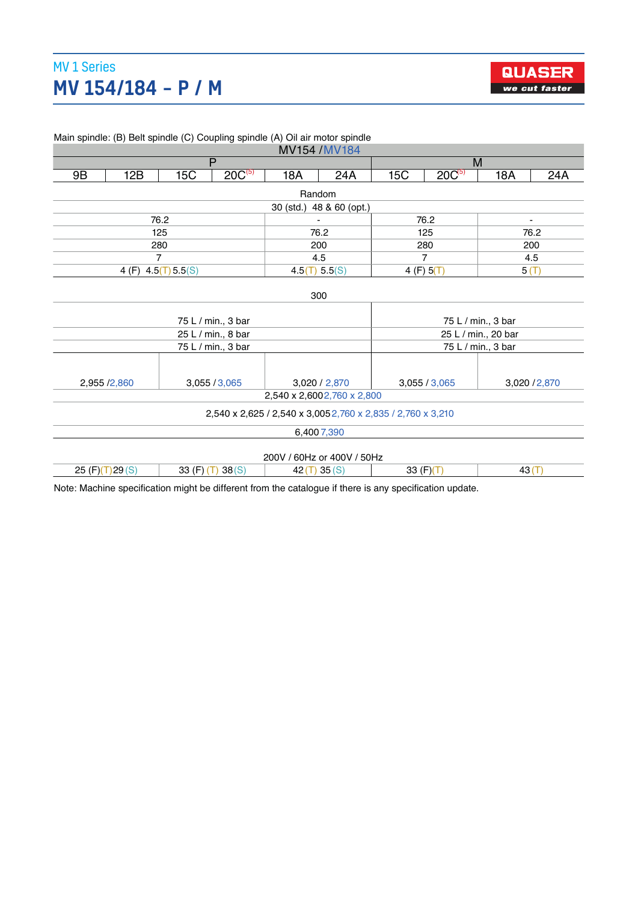#### 1,125 / 1,100 / - 1,100 / - 1,100 / - 1,100 / - 1,100 / - 1,100 / - 1,100 / - 1,100 / - 1,100 / - 1,100 / - 1, **1,124/184 – P / M** 2,000 2,000 2,000 *E We cut faster* MV 1 Series



/ - - -

|                            |     |                                                       |                                                                                                                   |     |                                                                                                                                   | M                                                                                                           |                                                                                                                                                                                  |                                                                 |  |
|----------------------------|-----|-------------------------------------------------------|-------------------------------------------------------------------------------------------------------------------|-----|-----------------------------------------------------------------------------------------------------------------------------------|-------------------------------------------------------------------------------------------------------------|----------------------------------------------------------------------------------------------------------------------------------------------------------------------------------|-----------------------------------------------------------------|--|
| 12B                        | 15C | $20C^{(5)}$                                           | 18A                                                                                                               | 24A | 15C                                                                                                                               |                                                                                                             | 18A                                                                                                                                                                              | 24A                                                             |  |
|                            |     |                                                       |                                                                                                                   |     |                                                                                                                                   |                                                                                                             |                                                                                                                                                                                  |                                                                 |  |
|                            |     |                                                       |                                                                                                                   |     |                                                                                                                                   |                                                                                                             |                                                                                                                                                                                  |                                                                 |  |
|                            |     |                                                       |                                                                                                                   |     |                                                                                                                                   |                                                                                                             |                                                                                                                                                                                  | $\overline{\phantom{a}}$                                        |  |
|                            |     |                                                       |                                                                                                                   |     |                                                                                                                                   |                                                                                                             |                                                                                                                                                                                  | 76.2                                                            |  |
|                            |     |                                                       |                                                                                                                   |     |                                                                                                                                   |                                                                                                             |                                                                                                                                                                                  | 200                                                             |  |
|                            |     |                                                       |                                                                                                                   |     |                                                                                                                                   |                                                                                                             |                                                                                                                                                                                  | 4.5                                                             |  |
| 4 (F)                      |     |                                                       |                                                                                                                   |     |                                                                                                                                   |                                                                                                             | 5(T)                                                                                                                                                                             |                                                                 |  |
|                            |     |                                                       |                                                                                                                   |     |                                                                                                                                   |                                                                                                             |                                                                                                                                                                                  |                                                                 |  |
|                            |     |                                                       |                                                                                                                   |     |                                                                                                                                   |                                                                                                             |                                                                                                                                                                                  |                                                                 |  |
|                            |     |                                                       |                                                                                                                   |     |                                                                                                                                   |                                                                                                             |                                                                                                                                                                                  |                                                                 |  |
|                            |     |                                                       |                                                                                                                   |     |                                                                                                                                   |                                                                                                             |                                                                                                                                                                                  |                                                                 |  |
|                            |     |                                                       |                                                                                                                   |     |                                                                                                                                   |                                                                                                             |                                                                                                                                                                                  |                                                                 |  |
|                            |     |                                                       |                                                                                                                   |     |                                                                                                                                   |                                                                                                             |                                                                                                                                                                                  |                                                                 |  |
|                            |     |                                                       |                                                                                                                   |     |                                                                                                                                   |                                                                                                             |                                                                                                                                                                                  |                                                                 |  |
| 2,955 /2,860               |     |                                                       |                                                                                                                   |     |                                                                                                                                   |                                                                                                             |                                                                                                                                                                                  | 3,020 / 2,870                                                   |  |
| 2,540 x 2,6002,760 x 2,800 |     |                                                       |                                                                                                                   |     |                                                                                                                                   |                                                                                                             |                                                                                                                                                                                  |                                                                 |  |
|                            |     |                                                       |                                                                                                                   |     |                                                                                                                                   |                                                                                                             |                                                                                                                                                                                  |                                                                 |  |
|                            |     |                                                       |                                                                                                                   |     |                                                                                                                                   |                                                                                                             |                                                                                                                                                                                  |                                                                 |  |
|                            |     |                                                       |                                                                                                                   |     |                                                                                                                                   |                                                                                                             |                                                                                                                                                                                  |                                                                 |  |
|                            |     |                                                       |                                                                                                                   |     |                                                                                                                                   |                                                                                                             |                                                                                                                                                                                  |                                                                 |  |
| 25 $(F)(T)$ 29 $(S)$       |     | 38(S)                                                 |                                                                                                                   |     |                                                                                                                                   |                                                                                                             | 43(T)                                                                                                                                                                            |                                                                 |  |
|                            |     | 76.2<br>125<br>280<br>$\overline{7}$<br>4.5(T) 5.5(S) | $\overline{P}$<br>75 L / min., 3 bar<br>25 L / min., 8 bar<br>75 L / min., 3 bar<br>3,055 / 3,065<br>33 $(F)$ (T) |     | MV154 / MV184<br>Random<br>30 (std.) 48 & 60 (opt.)<br>76.2<br>200<br>4.5<br>4.5(T) 5.5(S)<br>300<br>3,020 / 2,870<br>6,400 7,390 | Main spindle: (B) Belt spindle (C) Coupling spindle (A) Oil air motor spindle<br>200V / 60Hz or 400V / 50Hz | $20C^{(5)}$<br>76.2<br>125<br>280<br>$\overline{7}$<br>4(F) 5(T)<br>3,055 / 3,065<br>2,540 x 2,625 / 2,540 x 3,005 2,760 x 2,835 / 2,760 x 3,210<br>$42(T)$ 35(S)<br>33 $(F)(T)$ | 75 L / min., 3 bar<br>25 L / min., 20 bar<br>75 L / min., 3 bar |  |

40 Taper

 $25.5\pm0.000$  /  $25.5\pm0.000$  /  $25.5\pm0.000$  /  $25.5\pm0.000$  /  $25.5\pm0.000$ 

in opindle: (D)  $R_{\text{eff}}$  (D)  $R_{\text{eff}}$  (C)  $\hat{C}$  (C)  $\hat{C}$  (in particle (A)  $\hat{C}$  is proton opindle.

Note: Machine specification might be different from the catalogue if there is any specification update. e: Machine specification might be different from the catalogue if there is any specification update.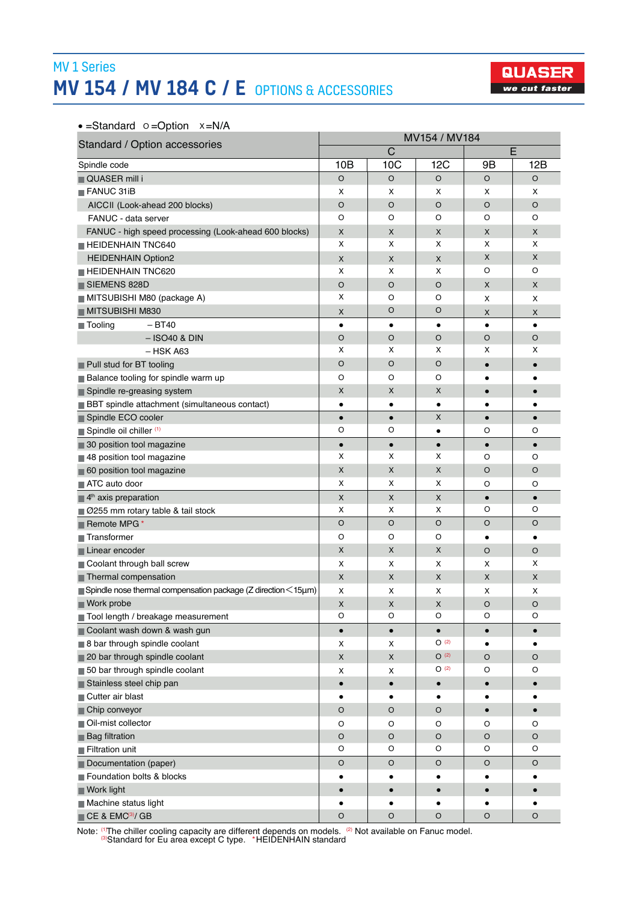## MV 1 Series MV 154 / MV 184 C / E OPTIONS & ACCESSORIES



•  $=$ Standard  $\circ$   $=$ Option  $x = N/A$ 

| Standard / Option accessories                                                            | MV154 / MV184      |                |             |           |             |  |  |
|------------------------------------------------------------------------------------------|--------------------|----------------|-------------|-----------|-------------|--|--|
|                                                                                          |                    | $\mathsf C$    |             |           | E           |  |  |
| Spindle code                                                                             | 10B                | 10C            | 12C         | 9Β        | 12B         |  |  |
| <b>QUASER</b> mill i                                                                     | O                  | O              | $\circ$     | $\circ$   | O           |  |  |
| <b>FANUC 31iB</b>                                                                        | x                  | X              | х           | X         | X           |  |  |
| AICCII (Look-ahead 200 blocks)                                                           | O                  | O              | O           | $\circ$   | O           |  |  |
| FANUC - data server                                                                      | O                  | O              | O           | O         | O           |  |  |
| FANUC - high speed processing (Look-ahead 600 blocks)                                    | X                  | X              | X           | X         | X           |  |  |
| HEIDENHAIN TNC640                                                                        | x                  | X              | x           | X         | X           |  |  |
| <b>HEIDENHAIN Option2</b>                                                                | X                  | X              | X           | X         | X           |  |  |
| <b>HEIDENHAIN TNC620</b>                                                                 | x                  | x              | X           | O         | O           |  |  |
| SIEMENS 828D                                                                             | O                  | O              | O           | X         | X           |  |  |
| MITSUBISHI M80 (package A)                                                               | х                  | O              | O           | X         | x           |  |  |
| MITSUBISHI M830                                                                          | X                  | O              | O           | X         | X           |  |  |
| <b>■ Tooling</b><br>$- B T 40$                                                           | $\bullet$          | $\bullet$      | $\bullet$   | $\bullet$ | $\bullet$   |  |  |
| $-$ ISO40 & DIN                                                                          | O                  | O              | O           | $\circ$   | O           |  |  |
| $-$ HSK A63                                                                              | x                  | X              | X           | X         | x           |  |  |
| Pull stud for BT tooling                                                                 | O                  | O              | O           | $\bullet$ |             |  |  |
| <b>Balance tooling for spindle warm up</b>                                               | O                  | O              | O           | $\bullet$ |             |  |  |
| Spindle re-greasing system                                                               | X                  | X              | X           | $\bullet$ |             |  |  |
| <b>BBT</b> spindle attachment (simultaneous contact)                                     | $\bullet$          | ٠              | ٠           |           | ٠           |  |  |
| Spindle ECO cooler                                                                       | $\bullet$          | $\bullet$      | X           | $\bullet$ | $\bullet$   |  |  |
| Spindle oil chiller (1)                                                                  | O                  | O              | $\bullet$   | O         | O           |  |  |
| 30 position tool magazine                                                                | $\bullet$          | $\bullet$      | $\bullet$   | $\bullet$ | $\bullet$   |  |  |
| 48 position tool magazine                                                                | х                  | x              | х           | O         | O           |  |  |
| 60 position tool magazine                                                                | X                  | X              | X           | $\circ$   | O           |  |  |
| ATC auto door                                                                            | x                  | x              | x           | O         | O           |  |  |
| $\blacksquare$ 4 <sup>th</sup> axis preparation                                          | X                  | X              | X           | $\bullet$ | $\bullet$   |  |  |
| ■ Ø255 mm rotary table & tail stock                                                      | x                  | X              | х           | O         | O           |  |  |
| Remote MPG*                                                                              | O                  | O              | O           | $\circ$   | O           |  |  |
| Transformer                                                                              | O                  | O              | O           | $\bullet$ | ٠           |  |  |
| Linear encoder                                                                           | X                  | X              | X           | $\circ$   | O           |  |  |
| Coolant through ball screw                                                               | х                  | X              | x           | X         | X           |  |  |
| Thermal compensation                                                                     | X                  | X              | X           | X         | X           |  |  |
| $\blacksquare$ Spindle nose thermal compensation package (Z direction $\leq$ 15 $\mu$ m) | х                  | x              | х           | X         | x           |  |  |
| Work probe                                                                               | X                  | X              | X           | $\circ$   | O           |  |  |
| Tool length / breakage measurement                                                       | O                  | O              | O           | O         | O           |  |  |
| Coolant wash down & wash gun                                                             | $\bullet$          | $\bullet$      | $\bullet$   | $\bullet$ | $\bullet$   |  |  |
| 8 bar through spindle coolant                                                            | x                  | X              | O(2)        | $\bullet$ | $\bullet$   |  |  |
| 20 bar through spindle coolant                                                           | $\pmb{\mathsf{X}}$ | $\pmb{\times}$ | $O^{(2)}$   | $\circ$   | $\circ$     |  |  |
| 50 bar through spindle coolant                                                           | x                  | x              | O(2)        | O         | O           |  |  |
| Stainless steel chip pan                                                                 | $\bullet$          | $\bullet$      | $\bullet$   | $\bullet$ | $\bullet$   |  |  |
| Cutter air blast                                                                         | $\bullet$          | ٠              | ٠           | ٠         |             |  |  |
| Chip conveyor                                                                            | O                  | O              | O           | $\bullet$ | $\bullet$   |  |  |
| Oil-mist collector                                                                       | O                  | O              | O           | O         | O           |  |  |
| <b>Bag filtration</b>                                                                    | $\circ$            | $\mathsf O$    | $\hbox{O}$  | $\circ$   | $\mathsf O$ |  |  |
| Filtration unit                                                                          | O                  | O              | O           | O         | O           |  |  |
| Documentation (paper)                                                                    | O                  | O              | $\mathsf O$ | O         | O           |  |  |
| Foundation bolts & blocks                                                                | ٠                  | ٠              | ٠           |           |             |  |  |
| Work light                                                                               | $\bullet$          | $\bullet$      | $\bullet$   | $\bullet$ |             |  |  |
| Machine status light                                                                     | $\bullet$          | ٠              | $\bullet$   | $\bullet$ | $\bullet$   |  |  |
| CE & EMC <sup>(3)</sup> / GB                                                             | O                  | O              | O           | $\circ$   | O           |  |  |

Note: <sup>(1</sup>)The chiller cooling capacity are different depends on models. <sup>(2)</sup> Not available on Fanuc model.<br><sup>(3)</sup>Standard for Eu area except C type. \*HEIDENHAIN standard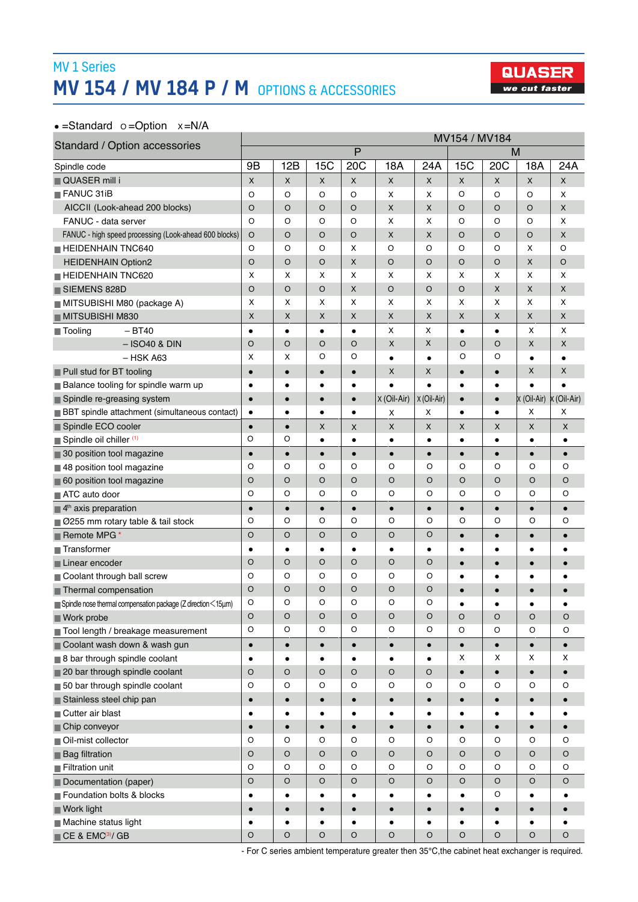## MV 1 Series MV 154 / MV 184 P / M OPTIONS & ACCESSORIES



#### •  $=$ Standard  $\circ$   $=$ Option  $x = N/A$

| Standard / Option accessories<br>P<br>м<br>20C<br>20 <sub>C</sub><br>9B<br>12B<br>15C<br>15C<br>18A<br>18A<br>24A<br>Spindle code<br><b>QUASER</b> mill i<br>$\pmb{\times}$<br>$\pmb{\times}$<br>X<br>$\pmb{\times}$<br>X<br>X<br>X<br>X<br>X | 24A<br>X<br>X |
|-----------------------------------------------------------------------------------------------------------------------------------------------------------------------------------------------------------------------------------------------|---------------|
|                                                                                                                                                                                                                                               |               |
|                                                                                                                                                                                                                                               |               |
|                                                                                                                                                                                                                                               |               |
| $\blacksquare$ FANUC 31iB<br>$\circ$<br>O<br>$\circ$<br>O<br>X<br>X<br>$\circ$<br>$\circ$<br>O                                                                                                                                                |               |
| AICCII (Look-ahead 200 blocks)<br>$\circ$<br>O<br>X<br>X<br>O<br>$\circ$<br>O<br>O<br>O                                                                                                                                                       | X             |
| $\circ$<br>X<br>X<br>O<br>O<br>FANUC - data server<br>O<br>O<br>O<br>O                                                                                                                                                                        | X             |
| $\pmb{\times}$<br>X<br>O<br>$\circ$<br>FANUC - high speed processing (Look-ahead 600 blocks)<br>O<br>O<br>$\circ$<br>O<br>O                                                                                                                   | X             |
| HEIDENHAIN TNC640<br>$\circ$<br>O<br>$\circ$<br>O<br>O<br>$\circ$<br>X<br>X<br>O                                                                                                                                                              | O             |
| $\mathsf{x}$<br>$\circ$<br>O<br>$\circ$<br>X<br>$\circ$<br>$\circ$<br>O<br><b>HEIDENHAIN Option2</b><br>O                                                                                                                                     | $\circ$       |
| X<br>х<br>x<br>х<br>X<br>x<br>X<br>х<br>X<br><b>HEIDENHAIN TNC620</b>                                                                                                                                                                         | X             |
| O<br>O<br>$\circ$<br>O<br>X<br>$\circ$<br>X<br>$\circ$<br>X<br>SIEMENS 828D                                                                                                                                                                   | X             |
| X<br>X<br>X<br>X<br>x<br>х<br>X<br>X<br>х<br>MITSUBISHI M80 (package A)                                                                                                                                                                       | X             |
| MITSUBISHI M830<br>Χ<br>X<br>X<br>X<br>X<br>X<br>X<br>X<br>X                                                                                                                                                                                  | X             |
| X<br>X<br>$- BT40$<br>X<br>$\blacksquare$ Tooling<br>$\bullet$<br>$\bullet$<br>$\bullet$<br>$\bullet$<br>$\bullet$<br>$\bullet$                                                                                                               | X             |
| $\circ$<br>$\circ$<br>X<br>X<br>O<br>X<br>O<br>O<br>O<br>$-$ ISO40 & DIN                                                                                                                                                                      | X             |
| O<br>x<br>O<br>O<br>O<br>х<br>$-$ HSK A63<br>$\bullet$<br>$\bullet$<br>$\bullet$                                                                                                                                                              |               |
| X<br>X<br>X<br>Pull stud for BT tooling<br>$\bullet$<br>$\bullet$<br>$\bullet$<br>$\bullet$<br>$\bullet$<br>$\bullet$                                                                                                                         | X             |
| <b>Balance tooling for spindle warm up</b><br>$\bullet$<br>$\bullet$<br>$\bullet$<br>$\bullet$<br>$\bullet$<br>$\bullet$<br>$\bullet$<br>$\bullet$                                                                                            | $\bullet$     |
| X (Oil-Air)<br>X (Oil-Air)<br>X (Oil-Air) X (Oil-Air)<br>Spindle re-greasing system<br>$\bullet$<br>$\bullet$<br>$\bullet$<br>$\bullet$<br>$\bullet$<br>$\bullet$                                                                             |               |
| x<br>BBT spindle attachment (simultaneous contact)<br>х<br>х<br>$\bullet$<br>$\bullet$<br>$\bullet$<br>$\bullet$<br>$\bullet$<br>$\bullet$                                                                                                    | х             |
| Spindle ECO cooler<br>X<br>X<br>X<br>$\bullet$<br>X<br>X<br>X<br>$\bullet$<br>X                                                                                                                                                               | X             |
| O<br>O<br>Spindle oil chiller (1)<br>$\bullet$<br>$\bullet$<br>$\bullet$<br>$\bullet$<br>$\bullet$<br>$\bullet$<br>$\bullet$                                                                                                                  | $\bullet$     |
| 30 position tool magazine<br>$\bullet$<br>$\bullet$<br>$\bullet$<br>$\bullet$<br>$\bullet$<br>$\bullet$<br>$\bullet$<br>$\bullet$<br>$\bullet$                                                                                                | $\bullet$     |
| O<br>O<br>O<br>O<br>O<br>O<br>O<br>O<br>O<br>48 position tool magazine                                                                                                                                                                        | O             |
| $\circ$<br>O<br>$\circ$<br>$\circ$<br>$\circ$<br>$\circ$<br>$\circ$<br>O<br>$\circ$<br>60 position tool magazine                                                                                                                              | O             |
| O<br>O<br>O<br>O<br>O<br>O<br>O<br>O<br>O<br><b>■ ATC auto door</b>                                                                                                                                                                           | O             |
| $\blacksquare$ 4 <sup>th</sup> axis preparation<br>$\bullet$<br>$\bullet$<br>$\bullet$<br>$\bullet$<br>$\bullet$<br>$\bullet$<br>$\bullet$<br>$\bullet$<br>$\bullet$                                                                          | $\bullet$     |
| O<br>O<br>O<br>O<br>O<br>O<br>O<br>O<br>O<br>■ Ø255 mm rotary table & tail stock                                                                                                                                                              | O             |
| O<br>$\circ$<br>$\circ$<br>Remote MPG*<br>O<br>O<br>O<br>$\bullet$<br>$\bullet$<br>$\bullet$                                                                                                                                                  | $\bullet$     |
| $\blacksquare$ Transformer<br>$\bullet$<br>$\bullet$<br>$\bullet$<br>$\bullet$<br>$\bullet$<br>$\bullet$<br>$\bullet$<br>$\bullet$<br>$\bullet$                                                                                               | ٠             |
| O<br>O<br>O<br>$\circ$<br>O<br>O<br>Linear encoder<br>$\bullet$<br>$\bullet$<br>$\bullet$                                                                                                                                                     | $\bullet$     |
| O<br>O<br>O<br>O<br>O<br>O<br>Coolant through ball screw<br>$\bullet$<br>$\bullet$<br>$\bullet$                                                                                                                                               |               |
| $\circ$<br>O<br>$\circ$<br>$\circ$<br>O<br>O<br>Thermal compensation<br>$\bullet$<br>$\bullet$<br>$\bullet$                                                                                                                                   |               |
| $\circ$<br>O<br>O<br>O<br>O<br>O<br>$\blacksquare$ Spindle nose thermal compensation package (Z direction $\leq$ 15 $\mu$ m)<br>$\bullet$<br>$\bullet$                                                                                        |               |
| <b>Work probe</b><br>O<br>O<br>O<br>O<br>O<br>O<br>$\mathsf O$<br>O<br>$\circ$                                                                                                                                                                | O             |
| $\circ$<br>O<br>O<br>O<br>O<br>O<br>$\circ$<br>$\circ$<br>$\mathsf O$<br>Tool length / breakage measurement                                                                                                                                   | O             |
| Coolant wash down & wash gun<br>$\bullet$<br>$\bullet$<br>$\bullet$<br>$\bullet$<br>$\bullet$<br>$\bullet$<br>$\bullet$<br>$\bullet$<br>$\bullet$                                                                                             | $\bullet$     |
| X<br>8 bar through spindle coolant<br>х<br>X<br>$\bullet$<br>$\bullet$<br>$\bullet$<br>$\bullet$<br>$\bullet$                                                                                                                                 | X             |
| 20 bar through spindle coolant<br>$\mathsf O$<br>$\circ$<br>$\circ$<br>$\mathsf O$<br>$\circ$<br>$\circ$<br>$\bullet$<br>$\bullet$<br>$\bullet$                                                                                               | $\bullet$     |
| 50 bar through spindle coolant<br>O<br>$\circ$<br>O<br>O<br>O<br>O<br>O<br>O<br>O                                                                                                                                                             | O             |
| Stainless steel chip pan<br>$\bullet$<br>$\bullet$<br>$\bullet$<br>$\bullet$<br>$\bullet$<br>$\bullet$<br>$\bullet$<br>$\bullet$                                                                                                              |               |
| Cutter air blast<br>$\bullet$<br>$\bullet$<br>$\bullet$<br>$\bullet$<br>$\bullet$<br>$\bullet$<br>٠<br>٠                                                                                                                                      | $\bullet$     |
| Chip conveyor<br>$\bullet$<br>$\bullet$<br>$\bullet$<br>$\bullet$<br>$\bullet$<br>$\bullet$<br>$\bullet$<br>$\bullet$<br>$\bullet$                                                                                                            | $\bullet$     |
| Oil-mist collector<br>$\mathsf O$<br>O<br>O<br>O<br>O<br>O<br>O<br>O<br>O                                                                                                                                                                     | O             |
| $\circ$<br>$\circ$<br>$\circ$<br>$\circ$<br>$\circ$<br>O<br>$\circ$<br>$\circ$<br>$\circ$<br><b>Bag filtration</b>                                                                                                                            | $\circ$       |
| O<br>Filtration unit<br>O<br>O<br>$\circ$<br>O<br>O<br>O<br>O<br>O                                                                                                                                                                            | O             |
| $\circ$<br>$\circ$<br>O<br>O<br>O<br>O<br>O<br>O<br>O<br>Documentation (paper)                                                                                                                                                                | O             |
| O<br>Foundation bolts & blocks<br>$\bullet$<br>$\bullet$<br>$\bullet$<br>$\bullet$<br>$\bullet$<br>$\bullet$<br>٠                                                                                                                             |               |
| Work light<br>$\bullet$<br>$\bullet$<br>$\bullet$<br>$\bullet$<br>$\bullet$<br>$\bullet$<br>$\bullet$<br>$\bullet$                                                                                                                            |               |
| Machine status light<br>$\bullet$<br>$\bullet$<br>$\bullet$<br>$\bullet$<br>$\bullet$<br>$\bullet$<br>$\bullet$<br>$\bullet$<br>٠                                                                                                             | $\bullet$     |
| CE & EMC <sup>3</sup> / GB<br>O<br>O<br>O<br>O<br>O<br>O<br>O<br>O<br>O                                                                                                                                                                       | O             |

- For C series ambient temperature greater then 35°C,the cabinet heat exchanger is required.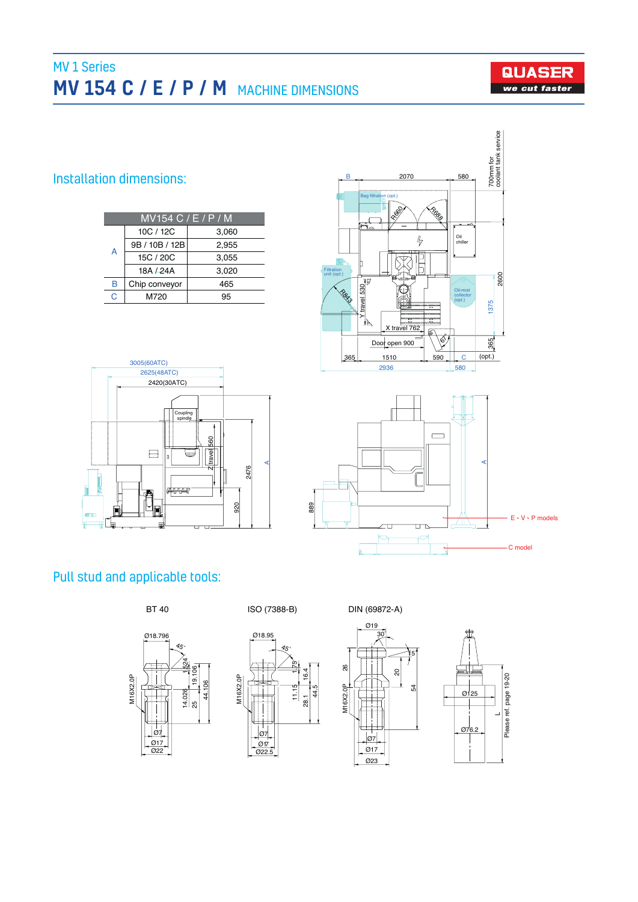# MV 1 Series MV 154 C / E / P / M MACHINE DIMENSIONS



### Installation dimensions:

| MV154 C / E / P / M |                |       |  |  |  |  |
|---------------------|----------------|-------|--|--|--|--|
|                     | 10C / 12C      | 3,060 |  |  |  |  |
| A                   | 9B / 10B / 12B | 2.955 |  |  |  |  |
|                     | 15C / 20C      | 3,055 |  |  |  |  |
|                     | 18A / 24A      | 3.020 |  |  |  |  |
| B                   | Chip conveyor  | 465   |  |  |  |  |
| C                   | M720           | 95    |  |  |  |  |







## Pull stud and applicable tools:













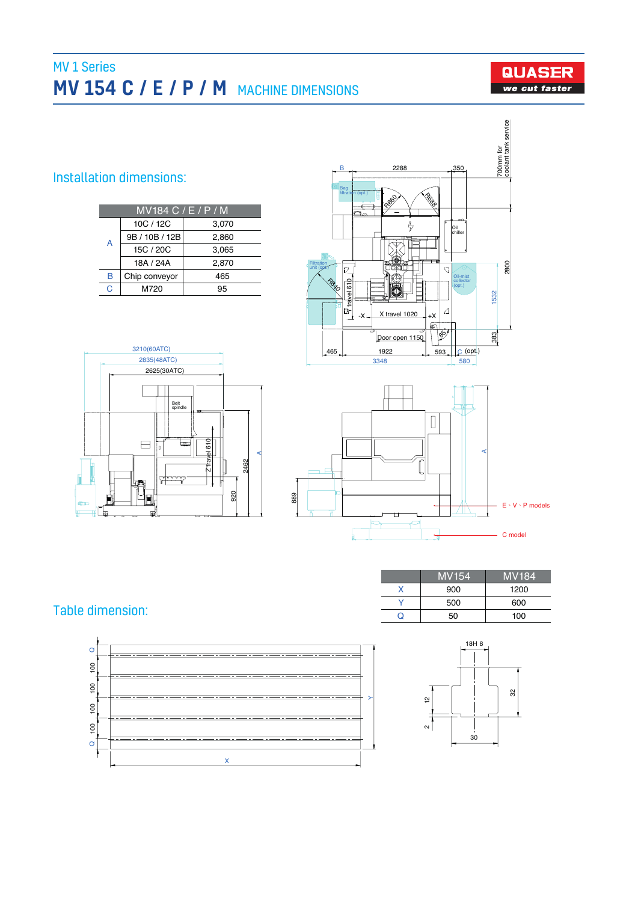# MV 1 Series MV 154 C / E / P / M MACHINE DIMENSIONS



### Installation dimensions:

|   | MV184 C / E / P / M |       |  |  |  |  |  |
|---|---------------------|-------|--|--|--|--|--|
|   | 10C / 12C           | 3,070 |  |  |  |  |  |
| A | 9B / 10B / 12B      | 2,860 |  |  |  |  |  |
|   | 15C / 20C           | 3,065 |  |  |  |  |  |
|   | 18A / 24A           | 2.870 |  |  |  |  |  |
| B | Chip conveyor       | 465   |  |  |  |  |  |
| C | M720                | 95    |  |  |  |  |  |







## Table dimension:

| <b>MV154</b> | <b>MV184</b> |
|--------------|--------------|
| 900          | 1200         |
| 500          | 600          |
| 50           | 100          |